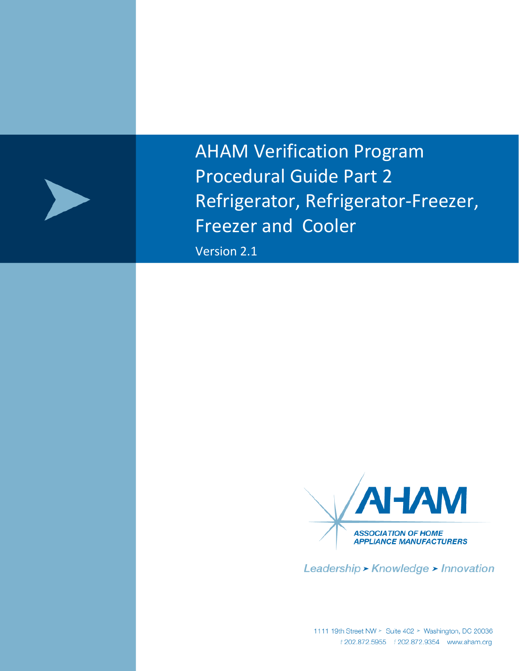

AHAM Verification Program Procedural Guide Part 2 Refrigerator, Refrigerator-Freezer, Freezer and Cooler

Version 2.1



Leadership > Knowledge > Innovation

1111 19th Street NW > Suite 402 > Washington, DC 20036<br>*t* 202.872.5955 *f* 202.872.9354 www.aham.org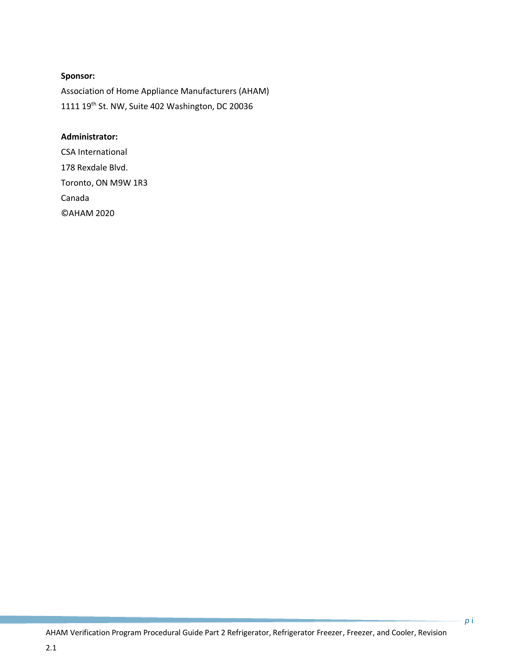#### **Sponsor:**

Association of Home Appliance Manufacturers (AHAM) 1111 19<sup>th</sup> St. NW, Suite 402 Washington, DC 20036

#### **Administrator:**

CSA International 178 Rexdale Blvd. Toronto, ON M9W 1R3 Canada ©AHAM 2020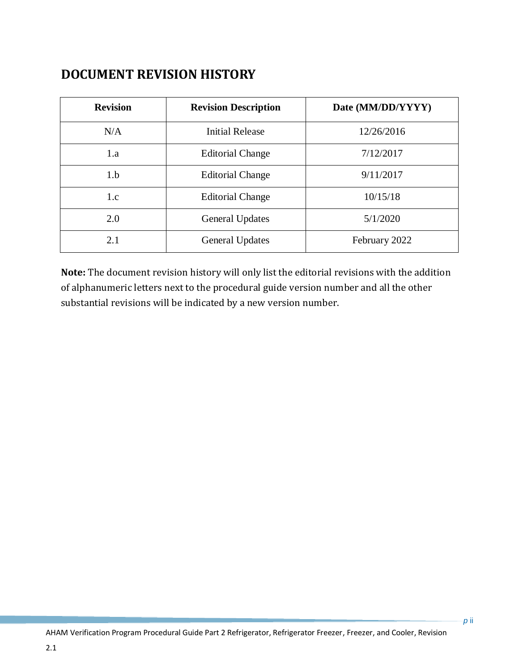# **DOCUMENT REVISION HISTORY**

| <b>Revision</b> | <b>Revision Description</b>         | Date (MM/DD/YYYY) |  |
|-----------------|-------------------------------------|-------------------|--|
| N/A             | <b>Initial Release</b>              | 12/26/2016        |  |
| 1.a             | <b>Editorial Change</b>             | 7/12/2017         |  |
| 1.b             | <b>Editorial Change</b>             | 9/11/2017         |  |
| 1.c             | 10/15/18<br><b>Editorial Change</b> |                   |  |
| 2.0             | 5/1/2020<br><b>General Updates</b>  |                   |  |
| 2.1             | <b>General Updates</b>              | February 2022     |  |

**Note:** The document revision history will only list the editorial revisions with the addition of alphanumeric letters next to the procedural guide version number and all the other substantial revisions will be indicated by a new version number.

2.1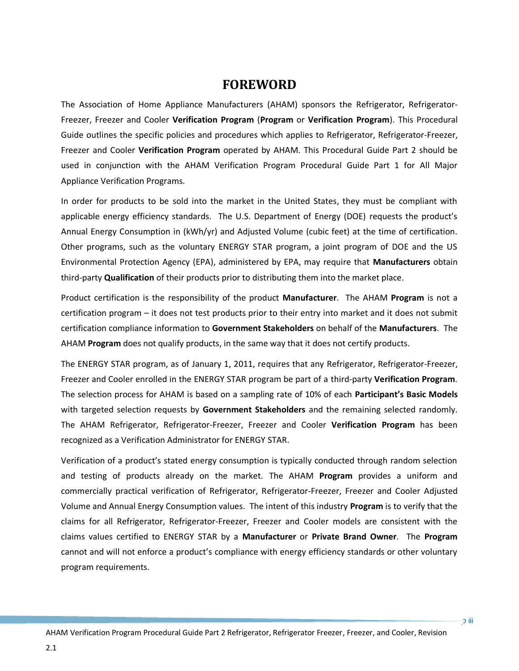# **FOREWORD**

The Association of Home Appliance Manufacturers (AHAM) sponsors the Refrigerator, Refrigerator-Freezer, Freezer and Cooler **Verification Program** (**Program** or **Verification Program**). This Procedural Guide outlines the specific policies and procedures which applies to Refrigerator, Refrigerator-Freezer, Freezer and Cooler **Verification Program** operated by AHAM. This Procedural Guide Part 2 should be used in conjunction with the AHAM Verification Program Procedural Guide Part 1 for All Major Appliance Verification Programs.

In order for products to be sold into the market in the United States, they must be compliant with applicable energy efficiency standards. The U.S. Department of Energy (DOE) requests the product's Annual Energy Consumption in (kWh/yr) and Adjusted Volume (cubic feet) at the time of certification. Other programs, such as the voluntary ENERGY STAR program, a joint program of DOE and the US Environmental Protection Agency (EPA), administered by EPA, may require that **Manufacturers** obtain third-party **Qualification** of their products prior to distributing them into the market place.

Product certification is the responsibility of the product **Manufacturer**. The AHAM **Program** is not a certification program – it does not test products prior to their entry into market and it does not submit certification compliance information to **Government Stakeholders** on behalf of the **Manufacturers**. The AHAM **Program** does not qualify products, in the same way that it does not certify products.

The ENERGY STAR program, as of January 1, 2011, requires that any Refrigerator, Refrigerator-Freezer, Freezer and Cooler enrolled in the ENERGY STAR program be part of a third-party **Verification Program**. The selection process for AHAM is based on a sampling rate of 10% of each **Participant's Basic Models** with targeted selection requests by **Government Stakeholders** and the remaining selected randomly. The AHAM Refrigerator, Refrigerator-Freezer, Freezer and Cooler **Verification Program** has been recognized as a Verification Administrator for ENERGY STAR.

Verification of a product's stated energy consumption is typically conducted through random selection and testing of products already on the market. The AHAM **Program** provides a uniform and commercially practical verification of Refrigerator, Refrigerator-Freezer, Freezer and Cooler Adjusted Volume and Annual Energy Consumption values. The intent of this industry **Program** is to verify that the claims for all Refrigerator, Refrigerator-Freezer, Freezer and Cooler models are consistent with the claims values certified to ENERGY STAR by a **Manufacturer** or **Private Brand Owner**. The **Program** cannot and will not enforce a product's compliance with energy efficiency standards or other voluntary program requirements.

2.1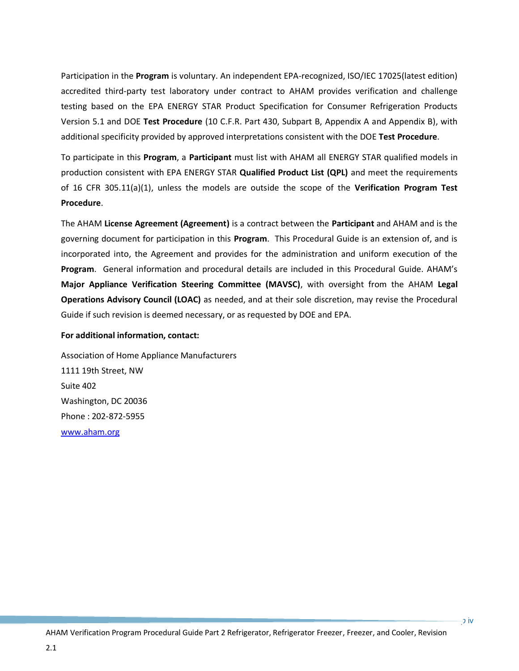Participation in the **Program** is voluntary. An independent EPA-recognized, ISO/IEC 17025(latest edition) accredited third-party test laboratory under contract to AHAM provides verification and challenge testing based on the EPA ENERGY STAR Product Specification for Consumer Refrigeration Products Version 5.1 and DOE **Test Procedure** (10 C.F.R. Part 430, Subpart B, Appendix A and Appendix B), with additional specificity provided by approved interpretations consistent with the DOE **Test Procedure**.

To participate in this **Program**, a **Participant** must list with AHAM all ENERGY STAR qualified models in production consistent with EPA ENERGY STAR **Qualified Product List (QPL)** and meet the requirements of 16 CFR 305.11(a)(1), unless the models are outside the scope of the **Verification Program Test Procedure**.

The AHAM **License Agreement (Agreement)** is a contract between the **Participant** and AHAM and is the governing document for participation in this **Program**. This Procedural Guide is an extension of, and is incorporated into, the Agreement and provides for the administration and uniform execution of the **Program**. General information and procedural details are included in this Procedural Guide. AHAM's **Major Appliance Verification Steering Committee (MAVSC)**, with oversight from the AHAM **Legal Operations Advisory Council (LOAC)** as needed, and at their sole discretion, may revise the Procedural Guide if such revision is deemed necessary, or as requested by DOE and EPA.

#### **For additional information, contact:**

2.1

Association of Home Appliance Manufacturers 1111 19th Street, NW Suite 402 Washington, DC 20036 Phone : 202-872-5955 [www.aham.org](http://www.info.org/)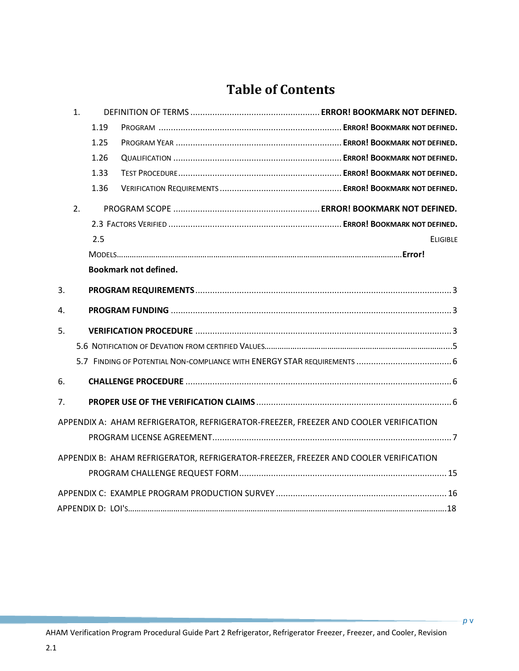# **Table of Contents**

| 1. |      |                              |                                                                                      |
|----|------|------------------------------|--------------------------------------------------------------------------------------|
|    | 1.19 |                              |                                                                                      |
|    | 1.25 |                              |                                                                                      |
|    | 1.26 |                              |                                                                                      |
|    | 1.33 |                              |                                                                                      |
|    | 1.36 |                              |                                                                                      |
| 2. |      |                              |                                                                                      |
|    |      |                              |                                                                                      |
|    | 2.5  |                              | <b>ELIGIBLE</b>                                                                      |
|    |      |                              |                                                                                      |
|    |      | <b>Bookmark not defined.</b> |                                                                                      |
| 3. |      |                              |                                                                                      |
| 4. |      |                              |                                                                                      |
| 5. |      |                              |                                                                                      |
|    |      |                              |                                                                                      |
|    |      |                              |                                                                                      |
| 6. |      |                              |                                                                                      |
| 7. |      |                              |                                                                                      |
|    |      |                              | APPENDIX A: AHAM REFRIGERATOR, REFRIGERATOR-FREEZER, FREEZER AND COOLER VERIFICATION |
|    |      |                              |                                                                                      |
|    |      |                              | APPENDIX B: AHAM REFRIGERATOR, REFRIGERATOR-FREEZER, FREEZER AND COOLER VERIFICATION |
|    |      |                              |                                                                                      |
|    |      |                              |                                                                                      |
|    |      |                              |                                                                                      |

2.1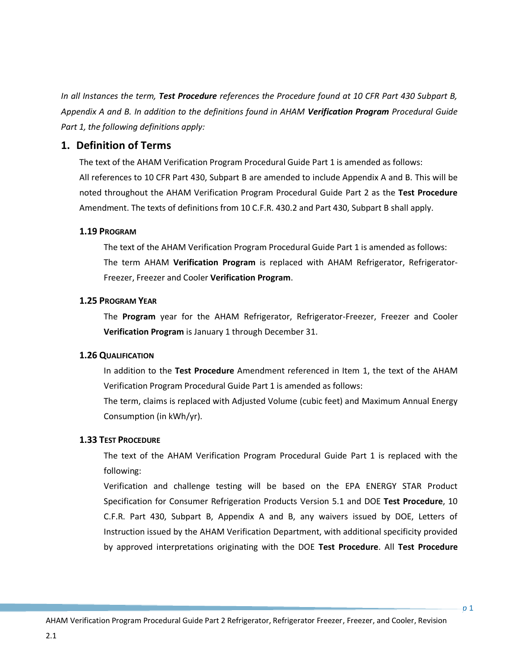*In all Instances the term, Test Procedure references the Procedure found at 10 CFR Part 430 Subpart B, Appendix A and B. In addition to the definitions found in AHAM Verification Program Procedural Guide Part 1, the following definitions apply:*

# **1. Definition of Terms**

The text of the AHAM Verification Program Procedural Guide Part 1 is amended as follows: All references to 10 CFR Part 430, Subpart B are amended to include Appendix A and B. This will be noted throughout the AHAM Verification Program Procedural Guide Part 2 as the **Test Procedure** Amendment. The texts of definitions from 10 C.F.R. 430.2 and Part 430, Subpart B shall apply.

# **1.19 PROGRAM**

The text of the AHAM Verification Program Procedural Guide Part 1 is amended as follows: The term AHAM **Verification Program** is replaced with AHAM Refrigerator, Refrigerator-Freezer, Freezer and Cooler **Verification Program**.

# **1.25 PROGRAM YEAR**

The **Program** year for the AHAM Refrigerator, Refrigerator-Freezer, Freezer and Cooler **Verification Program** is January 1 through December 31.

# **1.26 QUALIFICATION**

In addition to the **Test Procedure** Amendment referenced in Item 1, the text of the AHAM Verification Program Procedural Guide Part 1 is amended as follows:

The term, claims is replaced with Adjusted Volume (cubic feet) and Maximum Annual Energy Consumption (in kWh/yr).

# **1.33 TEST PROCEDURE**

The text of the AHAM Verification Program Procedural Guide Part 1 is replaced with the following:

Verification and challenge testing will be based on the EPA ENERGY STAR Product Specification for Consumer Refrigeration Products Version 5.1 and DOE **Test Procedure**, 10 C.F.R. Part 430, Subpart B, Appendix A and B, any waivers issued by DOE, Letters of Instruction issued by the AHAM Verification Department, with additional specificity provided by approved interpretations originating with the DOE **Test Procedure**. All **Test Procedure**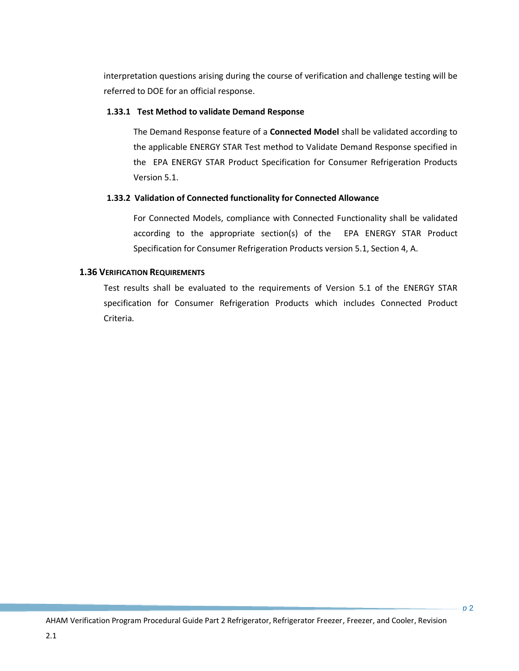interpretation questions arising during the course of verification and challenge testing will be referred to DOE for an official response.

### **1.33.1 Test Method to validate Demand Response**

The Demand Response feature of a **Connected Model** shall be validated according to the applicable ENERGY STAR Test method to Validate Demand Response specified in the EPA ENERGY STAR Product Specification for Consumer Refrigeration Products Version 5.1.

#### **1.33.2 Validation of Connected functionality for Connected Allowance**

For Connected Models, compliance with Connected Functionality shall be validated according to the appropriate section(s) of the EPA ENERGY STAR Product Specification for Consumer Refrigeration Products version 5.1, Section 4, A.

### **1.36 VERIFICATION REQUIREMENTS**

2.1

Test results shall be evaluated to the requirements of Version 5.1 of the ENERGY STAR specification for Consumer Refrigeration Products which includes Connected Product Criteria.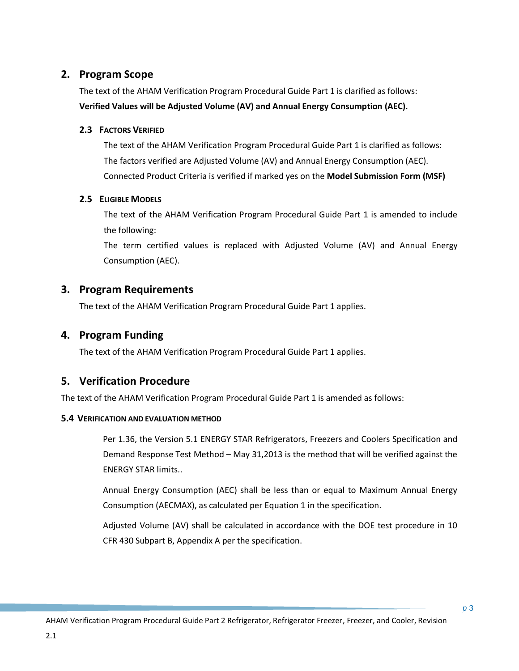# **2. Program Scope**

The text of the AHAM Verification Program Procedural Guide Part 1 is clarified as follows: **Verified Values will be Adjusted Volume (AV) and Annual Energy Consumption (AEC).**

### **2.3 FACTORS VERIFIED**

The text of the AHAM Verification Program Procedural Guide Part 1 is clarified as follows: The factors verified are Adjusted Volume (AV) and Annual Energy Consumption (AEC). Connected Product Criteria is verified if marked yes on the **Model Submission Form (MSF)**

### **2.5 ELIGIBLE MODELS**

The text of the AHAM Verification Program Procedural Guide Part 1 is amended to include the following:

The term certified values is replaced with Adjusted Volume (AV) and Annual Energy Consumption (AEC).

# **3. Program Requirements**

The text of the AHAM Verification Program Procedural Guide Part 1 applies.

# **4. Program Funding**

The text of the AHAM Verification Program Procedural Guide Part 1 applies.

# **5. Verification Procedure**

The text of the AHAM Verification Program Procedural Guide Part 1 is amended as follows:

# **5.4 VERIFICATION AND EVALUATION METHOD**

Per 1.36, the Version 5.1 ENERGY STAR Refrigerators, Freezers and Coolers Specification and Demand Response Test Method – May 31,2013 is the method that will be verified against the ENERGY STAR limits..

Annual Energy Consumption (AEC) shall be less than or equal to Maximum Annual Energy Consumption (AECMAX), as calculated per Equation 1 in the specification.

Adjusted Volume (AV) shall be calculated in accordance with the DOE test procedure in 10 CFR 430 Subpart B, Appendix A per the specification.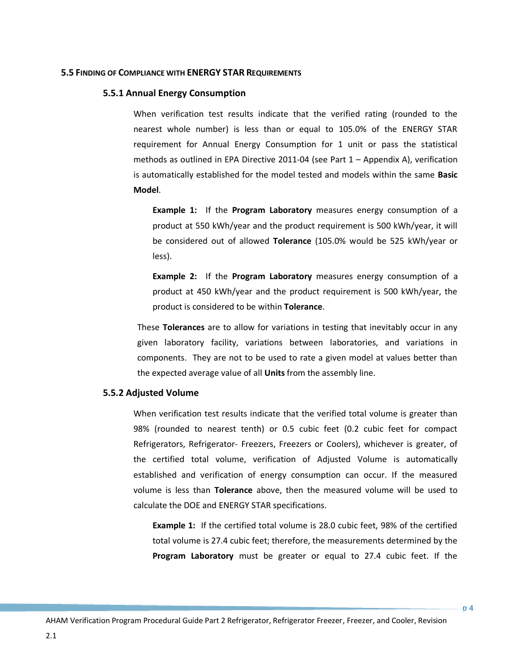#### **5.5 FINDING OF COMPLIANCE WITH ENERGY STAR REQUIREMENTS**

#### **5.5.1 Annual Energy Consumption**

When verification test results indicate that the verified rating (rounded to the nearest whole number) is less than or equal to 105.0% of the ENERGY STAR requirement for Annual Energy Consumption for 1 unit or pass the statistical methods as outlined in EPA Directive 2011-04 (see Part 1 – Appendix A), verification is automatically established for the model tested and models within the same **Basic Model**.

**Example 1:** If the **Program Laboratory** measures energy consumption of a product at 550 kWh/year and the product requirement is 500 kWh/year, it will be considered out of allowed **Tolerance** (105.0% would be 525 kWh/year or less).

**Example 2:** If the **Program Laboratory** measures energy consumption of a product at 450 kWh/year and the product requirement is 500 kWh/year, the product is considered to be within **Tolerance**.

These **Tolerances** are to allow for variations in testing that inevitably occur in any given laboratory facility, variations between laboratories, and variations in components. They are not to be used to rate a given model at values better than the expected average value of all **Units** from the assembly line.

#### **5.5.2 Adjusted Volume**

When verification test results indicate that the verified total volume is greater than 98% (rounded to nearest tenth) or 0.5 cubic feet (0.2 cubic feet for compact Refrigerators, Refrigerator- Freezers, Freezers or Coolers), whichever is greater, of the certified total volume, verification of Adjusted Volume is automatically established and verification of energy consumption can occur. If the measured volume is less than **Tolerance** above, then the measured volume will be used to calculate the DOE and ENERGY STAR specifications.

**Example 1:** If the certified total volume is 28.0 cubic feet, 98% of the certified total volume is 27.4 cubic feet; therefore, the measurements determined by the **Program Laboratory** must be greater or equal to 27.4 cubic feet. If the

*p* 4

AHAM Verification Program Procedural Guide Part 2 Refrigerator, Refrigerator Freezer, Freezer, and Cooler, Revision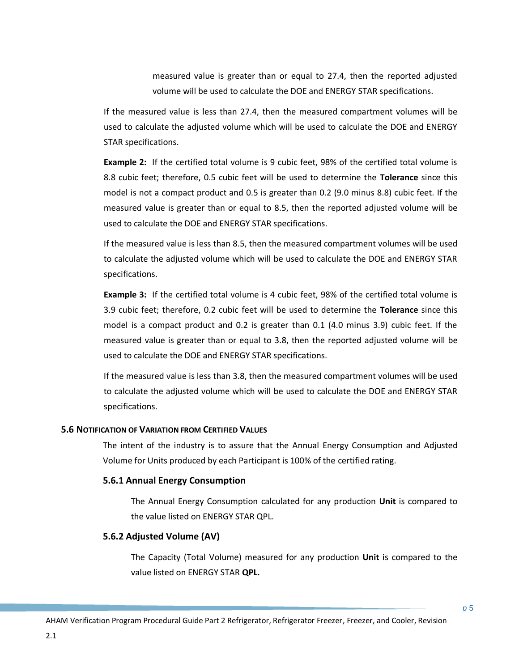measured value is greater than or equal to 27.4, then the reported adjusted volume will be used to calculate the DOE and ENERGY STAR specifications.

If the measured value is less than 27.4, then the measured compartment volumes will be used to calculate the adjusted volume which will be used to calculate the DOE and ENERGY STAR specifications.

**Example 2:** If the certified total volume is 9 cubic feet, 98% of the certified total volume is 8.8 cubic feet; therefore, 0.5 cubic feet will be used to determine the **Tolerance** since this model is not a compact product and 0.5 is greater than 0.2 (9.0 minus 8.8) cubic feet. If the measured value is greater than or equal to 8.5, then the reported adjusted volume will be used to calculate the DOE and ENERGY STAR specifications.

If the measured value is less than 8.5, then the measured compartment volumes will be used to calculate the adjusted volume which will be used to calculate the DOE and ENERGY STAR specifications.

**Example 3:** If the certified total volume is 4 cubic feet, 98% of the certified total volume is 3.9 cubic feet; therefore, 0.2 cubic feet will be used to determine the **Tolerance** since this model is a compact product and 0.2 is greater than 0.1 (4.0 minus 3.9) cubic feet. If the measured value is greater than or equal to 3.8, then the reported adjusted volume will be used to calculate the DOE and ENERGY STAR specifications.

If the measured value is less than 3.8, then the measured compartment volumes will be used to calculate the adjusted volume which will be used to calculate the DOE and ENERGY STAR specifications.

#### **5.6 NOTIFICATION OF VARIATION FROM CERTIFIED VALUES**

The intent of the industry is to assure that the Annual Energy Consumption and Adjusted Volume for Units produced by each Participant is 100% of the certified rating.

#### **5.6.1 Annual Energy Consumption**

The Annual Energy Consumption calculated for any production **Unit** is compared to the value listed on ENERGY STAR QPL.

#### **5.6.2 Adjusted Volume (AV)**

The Capacity (Total Volume) measured for any production **Unit** is compared to the value listed on ENERGY STAR **QPL.**

*p* 5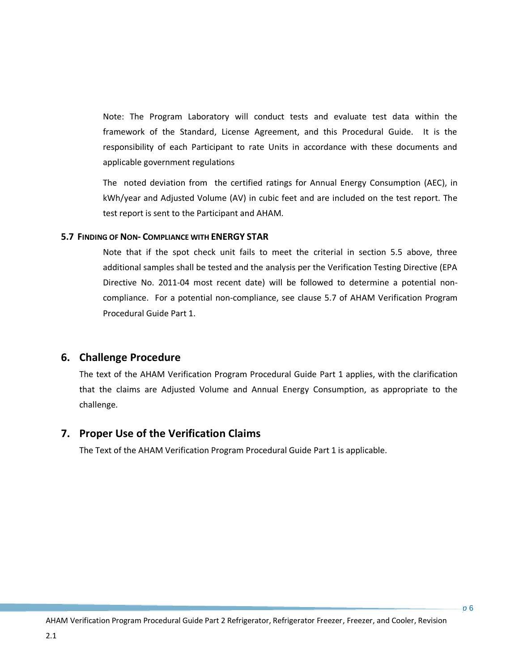Note: The Program Laboratory will conduct tests and evaluate test data within the framework of the Standard, License Agreement, and this Procedural Guide. It is the responsibility of each Participant to rate Units in accordance with these documents and applicable government regulations

The noted deviation from the certified ratings for Annual Energy Consumption (AEC), in kWh/year and Adjusted Volume (AV) in cubic feet and are included on the test report. The test report is sent to the Participant and AHAM.

#### **5.7 FINDING OF NON- COMPLIANCE WITH ENERGY STAR**

Note that if the spot check unit fails to meet the criterial in section 5.5 above, three additional samples shall be tested and the analysis per the Verification Testing Directive (EPA Directive No. 2011-04 most recent date) will be followed to determine a potential noncompliance. For a potential non-compliance, see clause 5.7 of AHAM Verification Program Procedural Guide Part 1.

# <span id="page-11-0"></span>**6. Challenge Procedure**

2.1

The text of the AHAM Verification Program Procedural Guide Part 1 applies, with the clarification that the claims are Adjusted Volume and Annual Energy Consumption, as appropriate to the challenge.

# **7. Proper Use of the Verification Claims**

The Text of the AHAM Verification Program Procedural Guide Part 1 is applicable.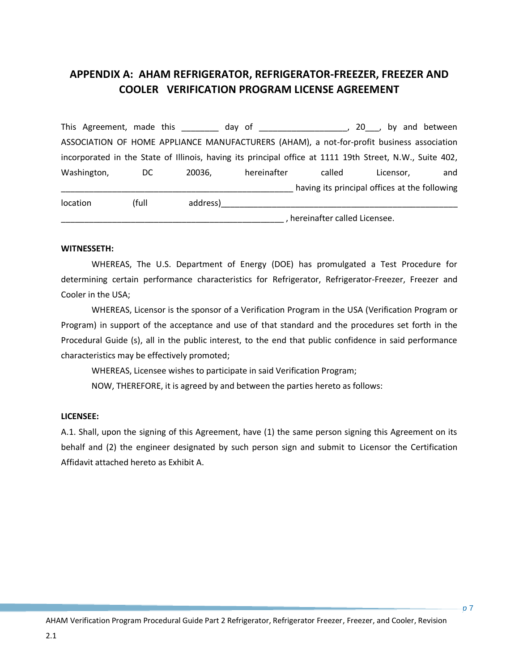# <span id="page-12-0"></span>**APPENDIX A: AHAM REFRIGERATOR, REFRIGERATOR-FREEZER, FREEZER AND COOLER VERIFICATION PROGRAM LICENSE AGREEMENT**

This Agreement, made this this day of this allows the set of the set of the set of the set of the set of the s ASSOCIATION OF HOME APPLIANCE MANUFACTURERS (AHAM), a not-for-profit business association incorporated in the State of Illinois, having its principal office at 1111 19th Street, N.W., Suite 402, Washington, DC 20036, hereinafter called Licensor, and having its principal offices at the following location (full address)\_\_\_\_\_\_\_\_\_\_\_\_\_\_\_\_\_\_\_\_\_\_\_\_\_\_\_\_\_\_\_\_\_\_\_\_\_\_\_\_\_\_\_\_\_\_\_\_\_\_\_ \_\_\_\_\_\_\_\_\_\_\_\_\_\_\_\_\_\_\_\_\_\_\_\_\_\_\_\_\_\_\_\_\_\_\_\_\_\_\_\_\_\_\_\_\_\_\_\_ , hereinafter called Licensee.

#### **WITNESSETH:**

WHEREAS, The U.S. Department of Energy (DOE) has promulgated a Test Procedure for determining certain performance characteristics for Refrigerator, Refrigerator-Freezer, Freezer and Cooler in the USA;

WHEREAS, Licensor is the sponsor of a Verification Program in the USA (Verification Program or Program) in support of the acceptance and use of that standard and the procedures set forth in the Procedural Guide (s), all in the public interest, to the end that public confidence in said performance characteristics may be effectively promoted;

WHEREAS, Licensee wishes to participate in said Verification Program;

NOW, THEREFORE, it is agreed by and between the parties hereto as follows:

#### **LICENSEE:**

2.1

A.1. Shall, upon the signing of this Agreement, have (1) the same person signing this Agreement on its behalf and (2) the engineer designated by such person sign and submit to Licensor the Certification Affidavit attached hereto as Exhibit A.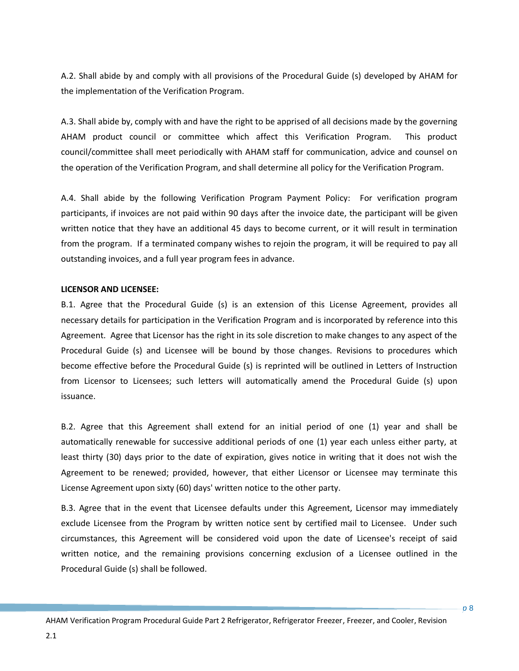A.2. Shall abide by and comply with all provisions of the Procedural Guide (s) developed by AHAM for the implementation of the Verification Program.

A.3. Shall abide by, comply with and have the right to be apprised of all decisions made by the governing AHAM product council or committee which affect this Verification Program. This product council/committee shall meet periodically with AHAM staff for communication, advice and counsel on the operation of the Verification Program, and shall determine all policy for the Verification Program.

A.4. Shall abide by the following Verification Program Payment Policy: For verification program participants, if invoices are not paid within 90 days after the invoice date, the participant will be given written notice that they have an additional 45 days to become current, or it will result in termination from the program. If a terminated company wishes to rejoin the program, it will be required to pay all outstanding invoices, and a full year program fees in advance.

#### **LICENSOR AND LICENSEE:**

B.1. Agree that the Procedural Guide (s) is an extension of this License Agreement, provides all necessary details for participation in the Verification Program and is incorporated by reference into this Agreement. Agree that Licensor has the right in its sole discretion to make changes to any aspect of the Procedural Guide (s) and Licensee will be bound by those changes. Revisions to procedures which become effective before the Procedural Guide (s) is reprinted will be outlined in Letters of Instruction from Licensor to Licensees; such letters will automatically amend the Procedural Guide (s) upon issuance.

B.2. Agree that this Agreement shall extend for an initial period of one (1) year and shall be automatically renewable for successive additional periods of one (1) year each unless either party, at least thirty (30) days prior to the date of expiration, gives notice in writing that it does not wish the Agreement to be renewed; provided, however, that either Licensor or Licensee may terminate this License Agreement upon sixty (60) days' written notice to the other party.

B.3. Agree that in the event that Licensee defaults under this Agreement, Licensor may immediately exclude Licensee from the Program by written notice sent by certified mail to Licensee. Under such circumstances, this Agreement will be considered void upon the date of Licensee's receipt of said written notice, and the remaining provisions concerning exclusion of a Licensee outlined in the Procedural Guide (s) shall be followed.

*p* 8

AHAM Verification Program Procedural Guide Part 2 Refrigerator, Refrigerator Freezer, Freezer, and Cooler, Revision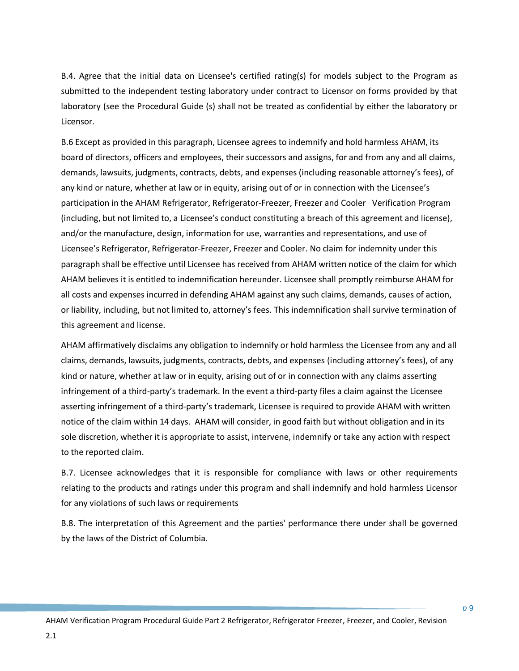B.4. Agree that the initial data on Licensee's certified rating(s) for models subject to the Program as submitted to the independent testing laboratory under contract to Licensor on forms provided by that laboratory (see the Procedural Guide (s) shall not be treated as confidential by either the laboratory or Licensor.

B.6 Except as provided in this paragraph, Licensee agrees to indemnify and hold harmless AHAM, its board of directors, officers and employees, their successors and assigns, for and from any and all claims, demands, lawsuits, judgments, contracts, debts, and expenses (including reasonable attorney's fees), of any kind or nature, whether at law or in equity, arising out of or in connection with the Licensee's participation in the AHAM Refrigerator, Refrigerator-Freezer, Freezer and Cooler Verification Program (including, but not limited to, a Licensee's conduct constituting a breach of this agreement and license), and/or the manufacture, design, information for use, warranties and representations, and use of Licensee's Refrigerator, Refrigerator-Freezer, Freezer and Cooler. No claim for indemnity under this paragraph shall be effective until Licensee has received from AHAM written notice of the claim for which AHAM believes it is entitled to indemnification hereunder. Licensee shall promptly reimburse AHAM for all costs and expenses incurred in defending AHAM against any such claims, demands, causes of action, or liability, including, but not limited to, attorney's fees. This indemnification shall survive termination of this agreement and license.

AHAM affirmatively disclaims any obligation to indemnify or hold harmless the Licensee from any and all claims, demands, lawsuits, judgments, contracts, debts, and expenses (including attorney's fees), of any kind or nature, whether at law or in equity, arising out of or in connection with any claims asserting infringement of a third-party's trademark. In the event a third-party files a claim against the Licensee asserting infringement of a third-party's trademark, Licensee is required to provide AHAM with written notice of the claim within 14 days. AHAM will consider, in good faith but without obligation and in its sole discretion, whether it is appropriate to assist, intervene, indemnify or take any action with respect to the reported claim.

B.7. Licensee acknowledges that it is responsible for compliance with laws or other requirements relating to the products and ratings under this program and shall indemnify and hold harmless Licensor for any violations of such laws or requirements

B.8. The interpretation of this Agreement and the parties' performance there under shall be governed by the laws of the District of Columbia.

*p* 9

AHAM Verification Program Procedural Guide Part 2 Refrigerator, Refrigerator Freezer, Freezer, and Cooler, Revision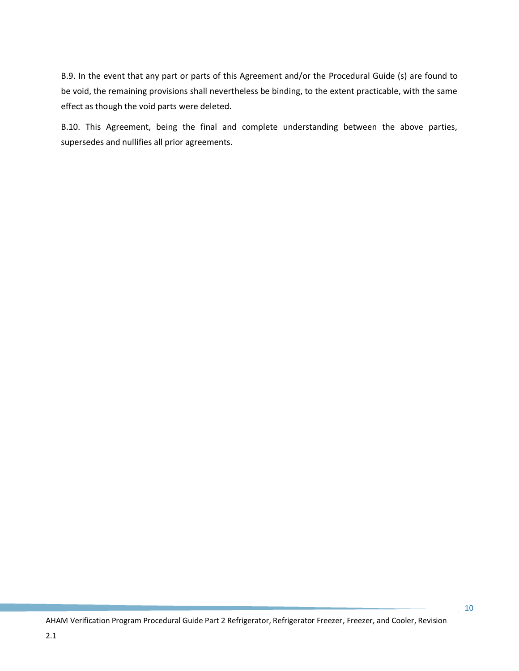B.9. In the event that any part or parts of this Agreement and/or the Procedural Guide (s) are found to be void, the remaining provisions shall nevertheless be binding, to the extent practicable, with the same effect as though the void parts were deleted.

B.10. This Agreement, being the final and complete understanding between the above parties, supersedes and nullifies all prior agreements.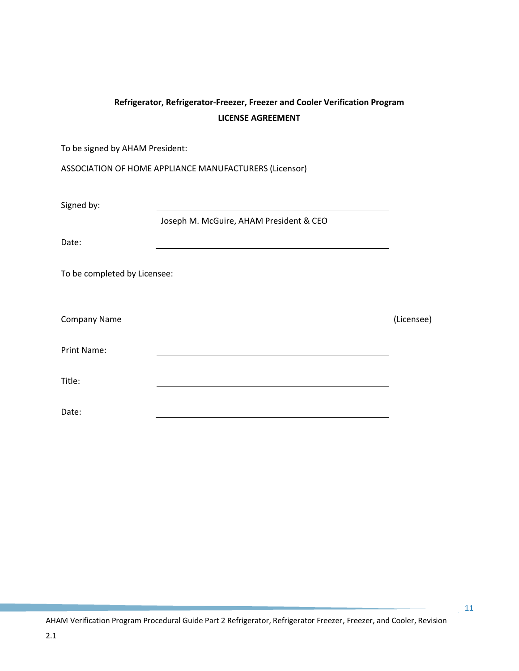# **Refrigerator, Refrigerator-Freezer, Freezer and Cooler Verification Program LICENSE AGREEMENT**

To be signed by AHAM President:

ASSOCIATION OF HOME APPLIANCE MANUFACTURERS (Licensor)

Signed by:

Joseph M. McGuire, AHAM President & CEO

Date:

To be completed by Licensee:

| Company Name | (Licensee) |
|--------------|------------|
| Print Name:  |            |
| Title:       |            |

Date:

AHAM Verification Program Procedural Guide Part 2 Refrigerator, Refrigerator Freezer, Freezer, and Cooler, Revision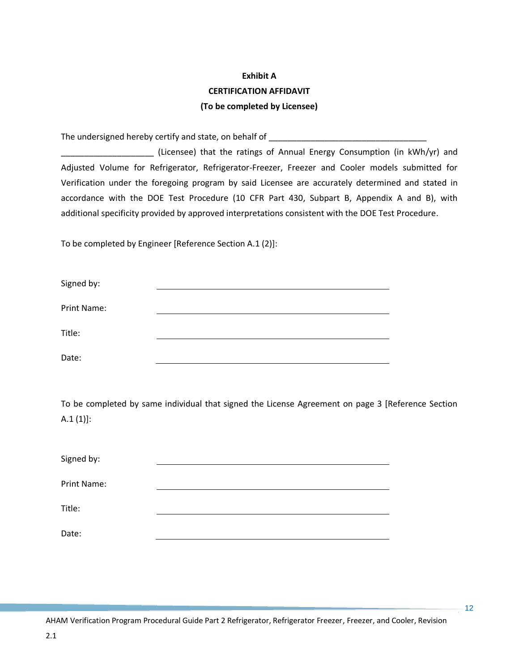# **Exhibit A CERTIFICATION AFFIDAVIT (To be completed by Licensee)**

The undersigned hereby certify and state, on behalf of **The understanding the state of the state** of  $\mathbf{r}$ 

\_\_\_\_\_\_\_\_\_\_\_\_\_\_\_\_\_\_\_\_ (Licensee) that the ratings of Annual Energy Consumption (in kWh/yr) and Adjusted Volume for Refrigerator, Refrigerator-Freezer, Freezer and Cooler models submitted for Verification under the foregoing program by said Licensee are accurately determined and stated in accordance with the DOE Test Procedure (10 CFR Part 430, Subpart B, Appendix A and B), with additional specificity provided by approved interpretations consistent with the DOE Test Procedure.

To be completed by Engineer [Reference Section A.1 (2)]:

| Signed by:  |  |
|-------------|--|
| Print Name: |  |
| Title:      |  |
| Date:       |  |

To be completed by same individual that signed the License Agreement on page 3 [Reference Section  $A.1 (1)$ :

| Signed by:  |  |
|-------------|--|
| Print Name: |  |
| Title:      |  |
| Date:       |  |

AHAM Verification Program Procedural Guide Part 2 Refrigerator, Refrigerator Freezer, Freezer, and Cooler, Revision

 $\frac{1}{2}$  12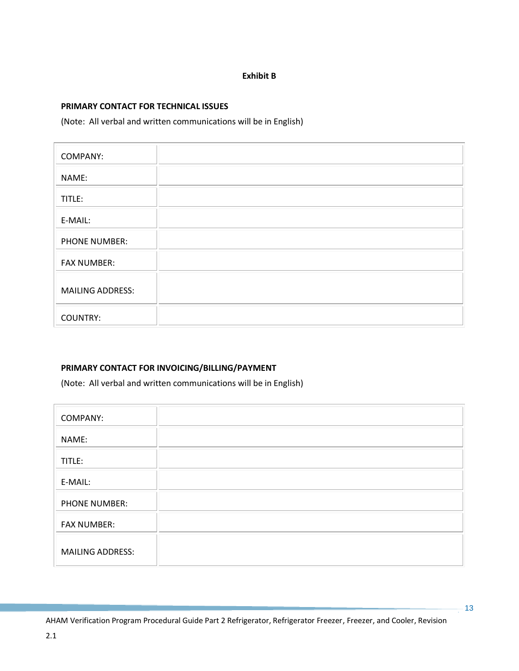### **Exhibit B**

### **PRIMARY CONTACT FOR TECHNICAL ISSUES**

(Note: All verbal and written communications will be in English)

| <b>COMPANY:</b>         |  |
|-------------------------|--|
| NAME:                   |  |
| TITLE:                  |  |
| E-MAIL:                 |  |
| PHONE NUMBER:           |  |
| <b>FAX NUMBER:</b>      |  |
| <b>MAILING ADDRESS:</b> |  |
| <b>COUNTRY:</b>         |  |

### **PRIMARY CONTACT FOR INVOICING/BILLING/PAYMENT**

(Note: All verbal and written communications will be in English)

| <b>COMPANY:</b>         |  |
|-------------------------|--|
| NAME:                   |  |
| TITLE:                  |  |
| E-MAIL:                 |  |
| <b>PHONE NUMBER:</b>    |  |
| <b>FAX NUMBER:</b>      |  |
| <b>MAILING ADDRESS:</b> |  |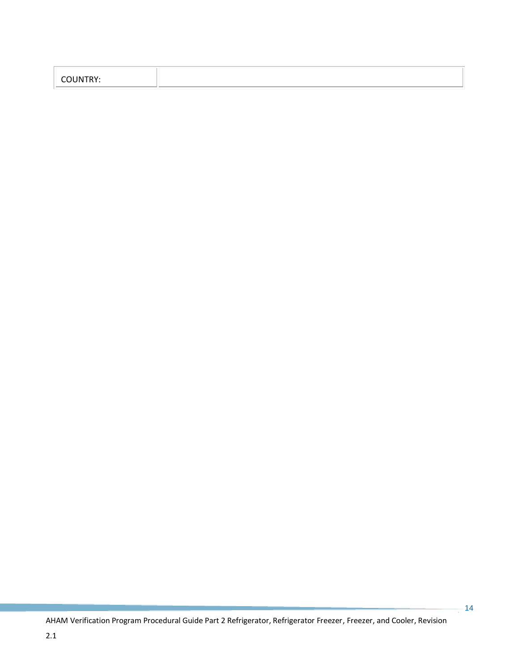| $\sim$ וואו ו $\sim$<br>,,,,,,, |  |
|---------------------------------|--|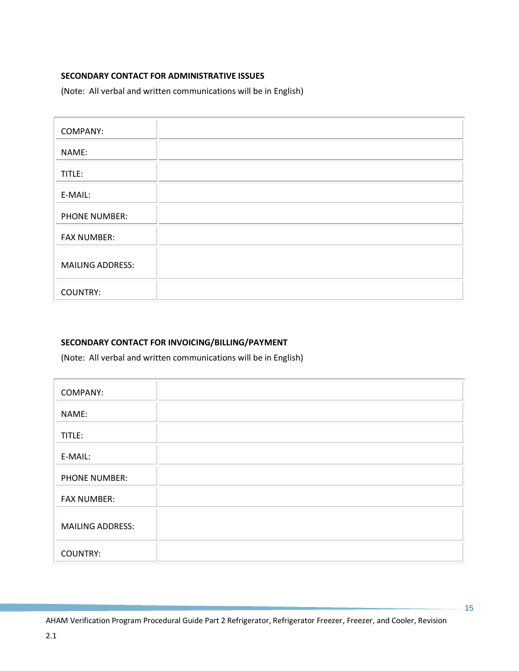### **SECONDARY CONTACT FOR ADMINISTRATIVE ISSUES**

(Note: All verbal and written communications will be in English)

| <b>COMPANY:</b>         |  |
|-------------------------|--|
| NAME:                   |  |
| TITLE:                  |  |
| E-MAIL:                 |  |
| PHONE NUMBER:           |  |
| <b>FAX NUMBER:</b>      |  |
| <b>MAILING ADDRESS:</b> |  |
| <b>COUNTRY:</b>         |  |

# **SECONDARY CONTACT FOR INVOICING/BILLING/PAYMENT**

(Note: All verbal and written communications will be in English)

| <b>COMPANY:</b>         |  |
|-------------------------|--|
| NAME:                   |  |
| TITLE:                  |  |
| E-MAIL:                 |  |
| <b>PHONE NUMBER:</b>    |  |
| <b>FAX NUMBER:</b>      |  |
| <b>MAILING ADDRESS:</b> |  |
| <b>COUNTRY:</b>         |  |

 $-15$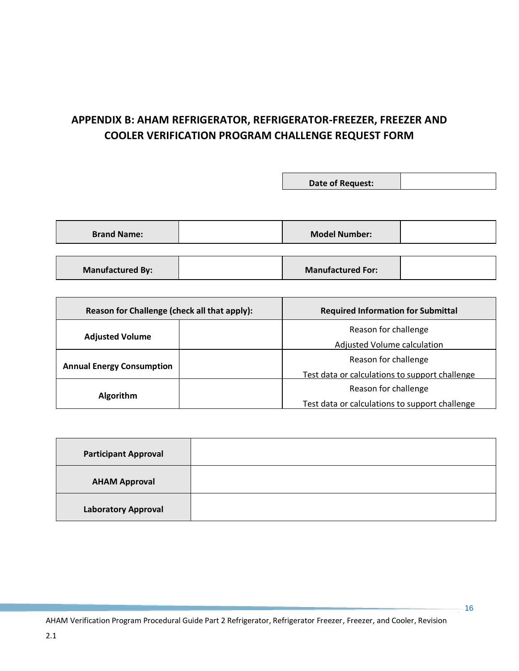# **APPENDIX B: AHAM REFRIGERATOR, REFRIGERATOR-FREEZER, FREEZER AND COOLER VERIFICATION PROGRAM CHALLENGE REQUEST FORM**

|                         | Date of Request:         |  |
|-------------------------|--------------------------|--|
|                         |                          |  |
|                         |                          |  |
| <b>Brand Name:</b>      | <b>Model Number:</b>     |  |
|                         |                          |  |
| <b>Manufactured By:</b> | <b>Manufactured For:</b> |  |

| Reason for Challenge (check all that apply): | <b>Required Information for Submittal</b>      |  |
|----------------------------------------------|------------------------------------------------|--|
|                                              | Reason for challenge                           |  |
| <b>Adjusted Volume</b>                       | Adjusted Volume calculation                    |  |
|                                              | Reason for challenge                           |  |
| <b>Annual Energy Consumption</b>             | Test data or calculations to support challenge |  |
|                                              | Reason for challenge                           |  |
| <b>Algorithm</b>                             | Test data or calculations to support challenge |  |

<span id="page-21-0"></span>

| <b>Participant Approval</b> |  |
|-----------------------------|--|
| <b>AHAM Approval</b>        |  |
| <b>Laboratory Approval</b>  |  |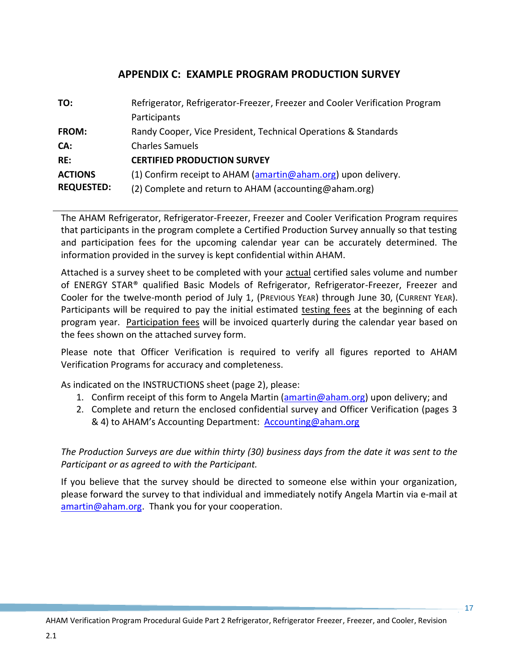# **APPENDIX C: EXAMPLE PROGRAM PRODUCTION SURVEY**

| TO:               | Refrigerator, Refrigerator-Freezer, Freezer and Cooler Verification Program |
|-------------------|-----------------------------------------------------------------------------|
|                   | Participants                                                                |
| FROM:             | Randy Cooper, Vice President, Technical Operations & Standards              |
| CA:               | <b>Charles Samuels</b>                                                      |
| RE:               | <b>CERTIFIED PRODUCTION SURVEY</b>                                          |
| <b>ACTIONS</b>    | (1) Confirm receipt to AHAM (amartin@aham.org) upon delivery.               |
| <b>REQUESTED:</b> | (2) Complete and return to AHAM (accounting@aham.org)                       |

The AHAM Refrigerator, Refrigerator-Freezer, Freezer and Cooler Verification Program requires that participants in the program complete a Certified Production Survey annually so that testing and participation fees for the upcoming calendar year can be accurately determined. The information provided in the survey is kept confidential within AHAM.

Attached is a survey sheet to be completed with your actual certified sales volume and number of ENERGY STAR® qualified Basic Models of Refrigerator, Refrigerator-Freezer, Freezer and Cooler for the twelve-month period of July 1, (PREVIOUS YEAR) through June 30, (CURRENT YEAR). Participants will be required to pay the initial estimated testing fees at the beginning of each program year. Participation fees will be invoiced quarterly during the calendar year based on the fees shown on the attached survey form.

Please note that Officer Verification is required to verify all figures reported to AHAM Verification Programs for accuracy and completeness.

As indicated on the INSTRUCTIONS sheet (page 2), please:

2.1

- 1. Confirm receipt of this form to Angela Martin [\(amartin@aham.org\)](mailto:amartin@aham.org) upon delivery; and
- 2. Complete and return the enclosed confidential survey and Officer Verification (pages 3 & 4) to AHAM's Accounting Department: [Accounting@aham.org](mailto:Accounting@aham.org)

*The Production Surveys are due within thirty (30) business days from the date it was sent to the Participant or as agreed to with the Participant.*

If you believe that the survey should be directed to someone else within your organization, please forward the survey to that individual and immediately notify Angela Martin via e-mail at [amartin@aham.org.](mailto:amartin@aham.org) Thank you for your cooperation.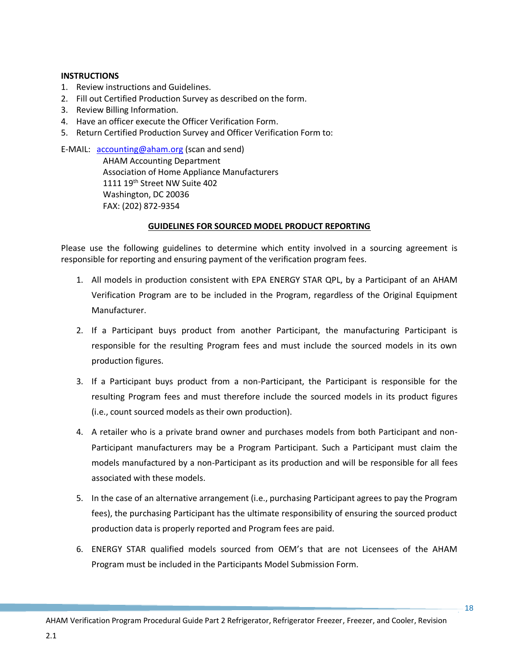#### **INSTRUCTIONS**

- 1. Review instructions and Guidelines.
- 2. Fill out Certified Production Survey as described on the form.
- 3. Review Billing Information.
- 4. Have an officer execute the Officer Verification Form.
- 5. Return Certified Production Survey and Officer Verification Form to:

E-MAIL: [accounting@aham.org](mailto:accounting@aham.org) (scan and send) AHAM Accounting Department Association of Home Appliance Manufacturers 1111 19<sup>th</sup> Street NW Suite 402 Washington, DC 20036 FAX: (202) 872-9354

### **GUIDELINES FOR SOURCED MODEL PRODUCT REPORTING**

Please use the following guidelines to determine which entity involved in a sourcing agreement is responsible for reporting and ensuring payment of the verification program fees.

- 1. All models in production consistent with EPA ENERGY STAR QPL, by a Participant of an AHAM Verification Program are to be included in the Program, regardless of the Original Equipment Manufacturer.
- 2. If a Participant buys product from another Participant, the manufacturing Participant is responsible for the resulting Program fees and must include the sourced models in its own production figures.
- 3. If a Participant buys product from a non-Participant, the Participant is responsible for the resulting Program fees and must therefore include the sourced models in its product figures (i.e., count sourced models as their own production).
- 4. A retailer who is a private brand owner and purchases models from both Participant and non-Participant manufacturers may be a Program Participant. Such a Participant must claim the models manufactured by a non-Participant as its production and will be responsible for all fees associated with these models.
- 5. In the case of an alternative arrangement (i.e., purchasing Participant agrees to pay the Program fees), the purchasing Participant has the ultimate responsibility of ensuring the sourced product production data is properly reported and Program fees are paid.
- 6. ENERGY STAR qualified models sourced from OEM's that are not Licensees of the AHAM Program must be included in the Participants Model Submission Form.

 $\frac{1}{2}$  18